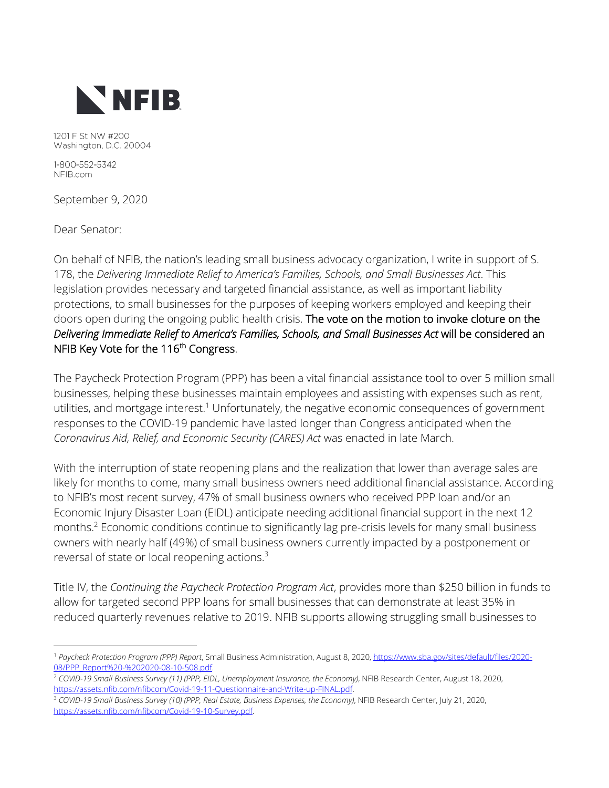

1201 F St NW #200 Washington, D.C. 20004

1-800-552-5342 NFIB.com

September 9, 2020

Dear Senator:

On behalf of NFIB, the nation's leading small business advocacy organization, I write in support of S. 178, the *Delivering Immediate Relief to America's Families, Schools, and Small Businesses Act*. This legislation provides necessary and targeted financial assistance, as well as important liability protections, to small businesses for the purposes of keeping workers employed and keeping their doors open during the ongoing public health crisis. The vote on the motion to invoke cloture on the *Delivering Immediate Relief to America's Families, Schools, and Small Businesses Act* will be considered an NFIB Key Vote for the 116<sup>th</sup> Congress.

The Paycheck Protection Program (PPP) has been a vital financial assistance tool to over 5 million small businesses, helping these businesses maintain employees and assisting with expenses such as rent, utilities, and mortgage interest.<sup>1</sup> Unfortunately, the negative economic consequences of government responses to the COVID-19 pandemic have lasted longer than Congress anticipated when the *Coronavirus Aid, Relief, and Economic Security (CARES) Act* was enacted in late March.

With the interruption of state reopening plans and the realization that lower than average sales are likely for months to come, many small business owners need additional financial assistance. According to NFIB's most recent survey, 47% of small business owners who received PPP loan and/or an Economic Injury Disaster Loan (EIDL) anticipate needing additional financial support in the next 12 months.<sup>2</sup> Economic conditions continue to significantly lag pre-crisis levels for many small business owners with nearly half (49%) of small business owners currently impacted by a postponement or reversal of state or local reopening actions.<sup>3</sup>

Title IV, the *Continuing the Paycheck Protection Program Act*, provides more than \$250 billion in funds to allow for targeted second PPP loans for small businesses that can demonstrate at least 35% in reduced quarterly revenues relative to 2019. NFIB supports allowing struggling small businesses to

<sup>1</sup> *Paycheck Protection Program (PPP) Report*, Small Business Administration, August 8, 2020[, https://www.sba.gov/sites/default/files/2020-](https://www.sba.gov/sites/default/files/2020-08/PPP_Report%20-%202020-08-10-508.pdf) [08/PPP\\_Report%20-%202020-08-10-508.pdf.](https://www.sba.gov/sites/default/files/2020-08/PPP_Report%20-%202020-08-10-508.pdf)

<sup>2</sup> *COVID-19 Small Business Survey (11) (PPP, EIDL, Unemployment Insurance, the Economy)*, NFIB Research Center, August 18, 2020, [https://assets.nfib.com/nfibcom/Covid-19-11-Questionnaire-and-Write-up-FINAL.pdf.](https://assets.nfib.com/nfibcom/Covid-19-11-Questionnaire-and-Write-up-FINAL.pdf)

<sup>3</sup> *COVID-19 Small Business Survey (10) (PPP, Real Estate, Business Expenses, the Economy)*, NFIB Research Center, July 21, 2020, [https://assets.nfib.com/nfibcom/Covid-19-10-Survey.pdf.](https://assets.nfib.com/nfibcom/Covid-19-10-Survey.pdf)